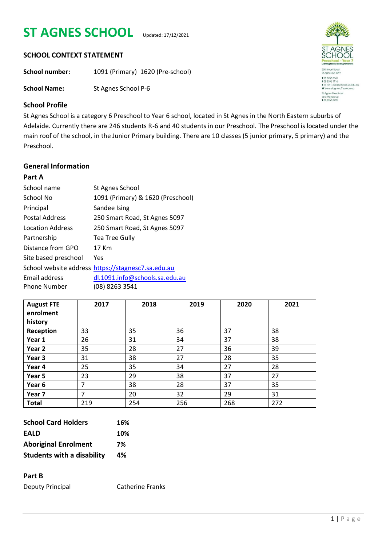# **ST AGNES SCHOOL** Updated: 17/12/2021



#### **SCHOOL CONTEXT STATEMENT**

**School number:** 1091 (Primary) 1620 (Pre-school)

**School Name:** St Agnes School P-6

## **School Profile**

St Agnes School is a category 6 Preschool to Year 6 school, located in St Agnes in the North Eastern suburbs of Adelaide. Currently there are 246 students R-6 and 40 students in our Preschool. The Preschool is located under the main roof of the school, in the Junior Primary building. There are 10 classes (5 junior primary, 5 primary) and the Preschool.

## **General Information**

#### **Part A**

| School name           | St Agnes School                                    |
|-----------------------|----------------------------------------------------|
| School No             | 1091 (Primary) & 1620 (Preschool)                  |
| Principal             | Sandee Ising                                       |
| <b>Postal Address</b> | 250 Smart Road, St Agnes 5097                      |
| Location Address      | 250 Smart Road, St Agnes 5097                      |
| Partnership           | Tea Tree Gully                                     |
| Distance from GPO     | 17 Km                                              |
| Site based preschool  | Yes                                                |
|                       | School website address https://stagnesc7.sa.edu.au |
| Email address         | dl.1091.info@schools.sa.edu.au                     |
| <b>Phone Number</b>   | (08) 8263 3541                                     |

| <b>August FTE</b><br>enrolment<br>history | 2017 | 2018 | 2019 | 2020 | 2021 |
|-------------------------------------------|------|------|------|------|------|
| Reception                                 | 33   | 35   | 36   | 37   | 38   |
| Year 1                                    | 26   | 31   | 34   | 37   | 38   |
| Year 2                                    | 35   | 28   | 27   | 36   | 39   |
| Year 3                                    | 31   | 38   | 27   | 28   | 35   |
| Year 4                                    | 25   | 35   | 34   | 27   | 28   |
| Year 5                                    | 23   | 29   | 38   | 37   | 27   |
| Year 6                                    | 7    | 38   | 28   | 37   | 35   |
| Year 7                                    | 7    | 20   | 32   | 29   | 31   |
| <b>Total</b>                              | 219  | 254  | 256  | 268  | 272  |

| <b>School Card Holders</b>        | 16% |
|-----------------------------------|-----|
| <b>EALD</b>                       | 10% |
| <b>Aboriginal Enrolment</b>       | 7%  |
| <b>Students with a disability</b> | 4%  |

#### **Part B**

Deputy Principal Catherine Franks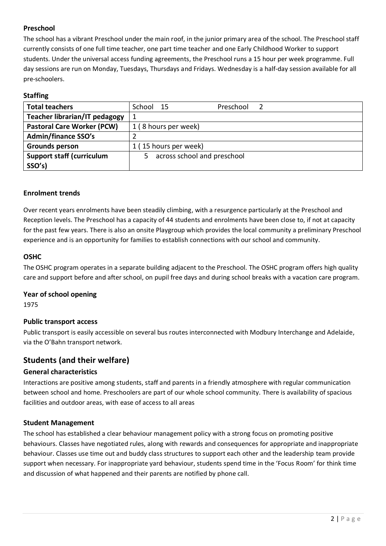## **Preschool**

The school has a vibrant Preschool under the main roof, in the junior primary area of the school. The Preschool staff currently consists of one full time teacher, one part time teacher and one Early Childhood Worker to support students. Under the universal access funding agreements, the Preschool runs a 15 hour per week programme. Full day sessions are run on Monday, Tuesdays, Thursdays and Fridays. Wednesday is a half-day session available for all pre-schoolers.

## **Staffing**

| <b>Total teachers</b>             | School 15                   | Preschool |  |  |
|-----------------------------------|-----------------------------|-----------|--|--|
| Teacher librarian/IT pedagogy     | 1                           |           |  |  |
| <b>Pastoral Care Worker (PCW)</b> | 1 (8 hours per week)        |           |  |  |
| <b>Admin/finance SSO's</b>        |                             |           |  |  |
| Grounds person                    | 1 (15 hours per week)       |           |  |  |
| <b>Support staff (curriculum</b>  | across school and preschool |           |  |  |
| SSO's)                            |                             |           |  |  |

#### **Enrolment trends**

Over recent years enrolments have been steadily climbing, with a resurgence particularly at the Preschool and Reception levels. The Preschool has a capacity of 44 students and enrolments have been close to, if not at capacity for the past few years. There is also an onsite Playgroup which provides the local community a preliminary Preschool experience and is an opportunity for families to establish connections with our school and community.

#### **OSHC**

The OSHC program operates in a separate building adjacent to the Preschool. The OSHC program offers high quality care and support before and after school, on pupil free days and during school breaks with a vacation care program.

#### **Year of school opening**

1975

#### **Public transport access**

Public transport is easily accessible on several bus routes interconnected with Modbury Interchange and Adelaide, via the O'Bahn transport network.

## **Students (and their welfare)**

#### **General characteristics**

Interactions are positive among students, staff and parents in a friendly atmosphere with regular communication between school and home. Preschoolers are part of our whole school community. There is availability of spacious facilities and outdoor areas, with ease of access to all areas

#### **Student Management**

The school has established a clear behaviour management policy with a strong focus on promoting positive behaviours. Classes have negotiated rules, along with rewards and consequences for appropriate and inappropriate behaviour. Classes use time out and buddy class structures to support each other and the leadership team provide support when necessary. For inappropriate yard behaviour, students spend time in the 'Focus Room' for think time and discussion of what happened and their parents are notified by phone call.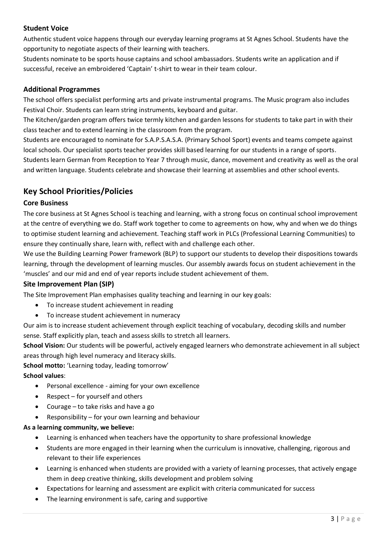#### **Student Voice**

Authentic student voice happens through our everyday learning programs at St Agnes School. Students have the opportunity to negotiate aspects of their learning with teachers.

Students nominate to be sports house captains and school ambassadors. Students write an application and if successful, receive an embroidered 'Captain' t-shirt to wear in their team colour.

#### **Additional Programmes**

The school offers specialist performing arts and private instrumental programs. The Music program also includes Festival Choir. Students can learn string instruments, keyboard and guitar.

The Kitchen/garden program offers twice termly kitchen and garden lessons for students to take part in with their class teacher and to extend learning in the classroom from the program.

Students are encouraged to nominate for S.A.P.S.A.S.A. (Primary School Sport) events and teams compete against local schools. Our specialist sports teacher provides skill based learning for our students in a range of sports.

Students learn German from Reception to Year 7 through music, dance, movement and creativity as well as the oral and written language. Students celebrate and showcase their learning at assemblies and other school events.

## **Key School Priorities/Policies**

#### **Core Business**

The core business at St Agnes School is teaching and learning, with a strong focus on continual school improvement at the centre of everything we do. Staff work together to come to agreements on how, why and when we do things to optimise student learning and achievement. Teaching staff work in PLCs (Professional Learning Communities) to ensure they continually share, learn with, reflect with and challenge each other.

We use the Building Learning Power framework (BLP) to support our students to develop their dispositions towards learning, through the development of learning muscles. Our assembly awards focus on student achievement in the 'muscles' and our mid and end of year reports include student achievement of them.

#### **Site Improvement Plan (SIP)**

The Site Improvement Plan emphasises quality teaching and learning in our key goals:

- To increase student achievement in reading
- To increase student achievement in numeracy

Our aim is to increase student achievement through explicit teaching of vocabulary, decoding skills and number sense. Staff explicitly plan, teach and assess skills to stretch all learners.

**School Vision:** Our students will be powerful, actively engaged learners who demonstrate achievement in all subject areas through high level numeracy and literacy skills.

#### **School motto:** 'Learning today, leading tomorrow'

#### **School values**:

- Personal excellence aiming for your own excellence
- $\bullet$  Respect for yourself and others
- Courage to take risks and have a go
- Responsibility for your own learning and behaviour

#### **As a learning community, we believe:**

- Learning is enhanced when teachers have the opportunity to share professional knowledge
- Students are more engaged in their learning when the curriculum is innovative, challenging, rigorous and relevant to their life experiences
- Learning is enhanced when students are provided with a variety of learning processes, that actively engage them in deep creative thinking, skills development and problem solving
- Expectations for learning and assessment are explicit with criteria communicated for success
- The learning environment is safe, caring and supportive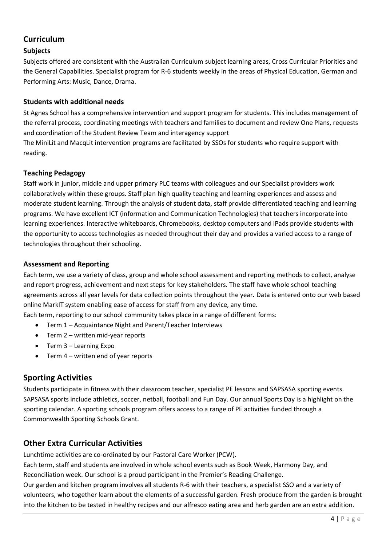## **Curriculum**

#### **Subjects**

Subjects offered are consistent with the Australian Curriculum subject learning areas, Cross Curricular Priorities and the General Capabilities. Specialist program for R-6 students weekly in the areas of Physical Education, German and Performing Arts: Music, Dance, Drama.

#### **Students with additional needs**

St Agnes School has a comprehensive intervention and support program for students. This includes management of the referral process, coordinating meetings with teachers and families to document and review One Plans, requests and coordination of the Student Review Team and interagency support

The MiniLit and MacqLit intervention programs are facilitated by SSOs for students who require support with reading.

#### **Teaching Pedagogy**

Staff work in junior, middle and upper primary PLC teams with colleagues and our Specialist providers work collaboratively within these groups. Staff plan high quality teaching and learning experiences and assess and moderate student learning. Through the analysis of student data, staff provide differentiated teaching and learning programs. We have excellent ICT (information and Communication Technologies) that teachers incorporate into learning experiences. Interactive whiteboards, Chromebooks, desktop computers and iPads provide students with the opportunity to access technologies as needed throughout their day and provides a varied access to a range of technologies throughout their schooling.

#### **Assessment and Reporting**

Each term, we use a variety of class, group and whole school assessment and reporting methods to collect, analyse and report progress, achievement and next steps for key stakeholders. The staff have whole school teaching agreements across all year levels for data collection points throughout the year. Data is entered onto our web based online MarkIT system enabling ease of access for staff from any device, any time.

Each term, reporting to our school community takes place in a range of different forms:

- Term 1 Acquaintance Night and Parent/Teacher Interviews
- Term 2 written mid-year reports
- Term 3 Learning Expo
- Term 4 written end of year reports

## **Sporting Activities**

Students participate in fitness with their classroom teacher, specialist PE lessons and SAPSASA sporting events. SAPSASA sports include athletics, soccer, netball, football and Fun Day. Our annual Sports Day is a highlight on the sporting calendar. A sporting schools program offers access to a range of PE activities funded through a Commonwealth Sporting Schools Grant.

## **Other Extra Curricular Activities**

Lunchtime activities are co-ordinated by our Pastoral Care Worker (PCW).

Each term, staff and students are involved in whole school events such as Book Week, Harmony Day, and Reconciliation week. Our school is a proud participant in the Premier's Reading Challenge.

Our garden and kitchen program involves all students R-6 with their teachers, a specialist SSO and a variety of volunteers, who together learn about the elements of a successful garden. Fresh produce from the garden is brought into the kitchen to be tested in healthy recipes and our alfresco eating area and herb garden are an extra addition.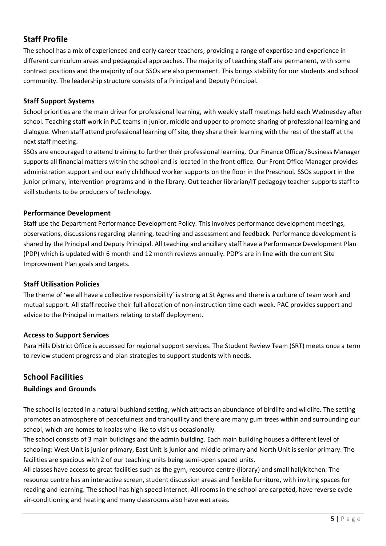# **Staff Profile**

The school has a mix of experienced and early career teachers, providing a range of expertise and experience in different curriculum areas and pedagogical approaches. The majority of teaching staff are permanent, with some contract positions and the majority of our SSOs are also permanent. This brings stability for our students and school community. The leadership structure consists of a Principal and Deputy Principal.

#### **Staff Support Systems**

School priorities are the main driver for professional learning, with weekly staff meetings held each Wednesday after school. Teaching staff work in PLC teams in junior, middle and upper to promote sharing of professional learning and dialogue. When staff attend professional learning off site, they share their learning with the rest of the staff at the next staff meeting.

SSOs are encouraged to attend training to further their professional learning. Our Finance Officer/Business Manager supports all financial matters within the school and is located in the front office. Our Front Office Manager provides administration support and our early childhood worker supports on the floor in the Preschool. SSOs support in the junior primary, intervention programs and in the library. Out teacher librarian/IT pedagogy teacher supports staff to skill students to be producers of technology.

#### **Performance Development**

Staff use the Department Performance Development Policy. This involves performance development meetings, observations, discussions regarding planning, teaching and assessment and feedback. Performance development is shared by the Principal and Deputy Principal. All teaching and ancillary staff have a Performance Development Plan (PDP) which is updated with 6 month and 12 month reviews annually. PDP's are in line with the current Site Improvement Plan goals and targets.

#### **Staff Utilisation Policies**

The theme of 'we all have a collective responsibility' is strong at St Agnes and there is a culture of team work and mutual support. All staff receive their full allocation of non-instruction time each week. PAC provides support and advice to the Principal in matters relating to staff deployment.

#### **Access to Support Services**

Para Hills District Office is accessed for regional support services. The Student Review Team (SRT) meets once a term to review student progress and plan strategies to support students with needs.

# **School Facilities**

#### **Buildings and Grounds**

The school is located in a natural bushland setting, which attracts an abundance of birdlife and wildlife. The setting promotes an atmosphere of peacefulness and tranquillity and there are many gum trees within and surrounding our school, which are homes to koalas who like to visit us occasionally.

The school consists of 3 main buildings and the admin building. Each main building houses a different level of schooling: West Unit is junior primary, East Unit is junior and middle primary and North Unit is senior primary. The facilities are spacious with 2 of our teaching units being semi-open spaced units.

All classes have access to great facilities such as the gym, resource centre (library) and small hall/kitchen. The resource centre has an interactive screen, student discussion areas and flexible furniture, with inviting spaces for reading and learning. The school has high speed internet. All rooms in the school are carpeted, have reverse cycle air-conditioning and heating and many classrooms also have wet areas.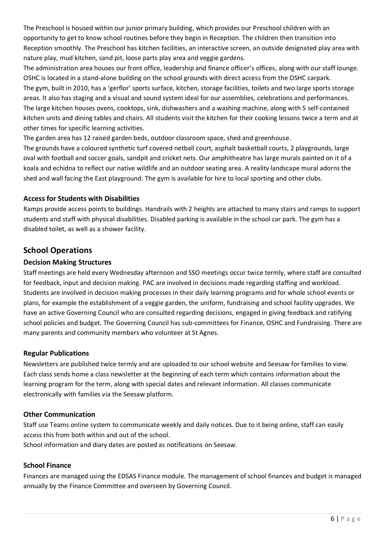The Preschool is housed within our junior primary building, which provides our Preschool children with an opportunity to get to know school routines before they begin in Reception. The children then transition into Reception smoothly. The Preschool has kitchen facilities, an interactive screen, an outside designated play area with nature play, mud kitchen, sand pit, loose parts play area and veggie gardens.

The administration area houses our front office, leadership and finance officer's offices, along with our staff lounge. OSHC is located in a stand-alone building on the school grounds with direct access from the OSHC carpark. The gym, built in 2010, has a 'gerflor' sports surface, kitchen, storage facilities, toilets and two large sports storage areas. It also has staging and a visual and sound system ideal for our assemblies, celebrations and performances. The large kitchen houses ovens, cooktops, sink, dishwashers and a washing machine, along with 5 self-contained kitchen units and dining tables and chairs. All students visit the kitchen for their cooking lessons twice a term and at other times for specific learning activities.

The garden area has 12 raised garden beds, outdoor classroom space, shed and greenhouse.

The grounds have a coloured synthetic turf covered netball court, asphalt basketball courts, 2 playgrounds, large oval with football and soccer goals, sandpit and cricket nets. Our amphitheatre has large murals painted on it of a koala and echidna to reflect our native wildlife and an outdoor seating area. A reality landscape mural adorns the shed and wall facing the East playground. The gym is available for hire to local sporting and other clubs.

#### **Access for Students with Disabilities**

Ramps provide access points to buildings. Handrails with 2 heights are attached to many stairs and ramps to support students and staff with physical disabilities. Disabled parking is available in the school car park. The gym has a disabled toilet, as well as a shower facility.

## **School Operations**

#### **Decision Making Structures**

Staff meetings are held every Wednesday afternoon and SSO meetings occur twice termly, where staff are consulted for feedback, input and decision making. PAC are involved in decisions made regarding staffing and workload. Students are involved in decision making processes in their daily learning programs and for whole school events or plans, for example the establishment of a veggie garden, the uniform, fundraising and school facility upgrades. We have an active Governing Council who are consulted regarding decisions, engaged in giving feedback and ratifying school policies and budget. The Governing Council has sub-committees for Finance, OSHC and Fundraising. There are many parents and community members who volunteer at St Agnes.

#### **Regular Publications**

Newsletters are published twice termly and are uploaded to our school website and Seesaw for families to view. Each class sends home a class newsletter at the beginning of each term which contains information about the learning program for the term, along with special dates and relevant information. All classes communicate electronically with families via the Seesaw platform.

#### **Other Communication**

Staff use Teams online system to communicate weekly and daily notices. Due to it being online, staff can easily access this from both within and out of the school. School information and diary dates are posted as notifications on Seesaw.

#### **School Finance**

Finances are managed using the EDSAS Finance module. The management of school finances and budget is managed annually by the Finance Committee and overseen by Governing Council.